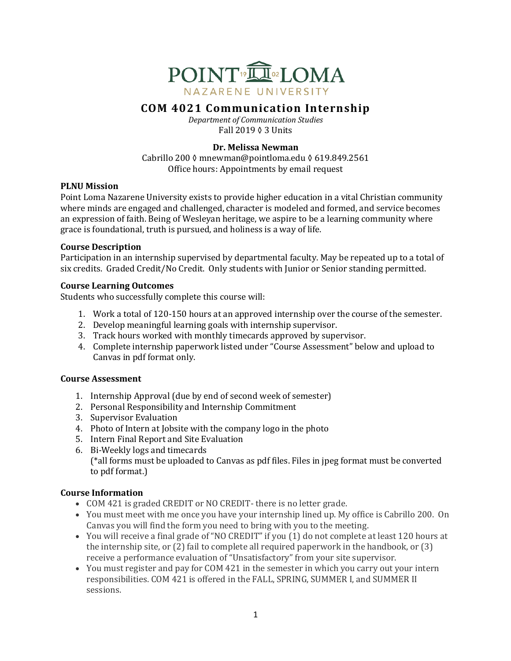

# **COM 4021 Communication Internship**

*Department of Communication Studies* Fall 2019 ◊ 3 Units

### **Dr. Melissa Newman**

Cabrillo 200 ◊ mnewman@pointloma.edu ◊ 619.849.2561 Office hours: Appointments by email request

### **PLNU** Mission

Point Loma Nazarene University exists to provide higher education in a vital Christian community where minds are engaged and challenged, character is modeled and formed, and service becomes an expression of faith. Being of Wesleyan heritage, we aspire to be a learning community where grace is foundational, truth is pursued, and holiness is a way of life.

### **Course Description**

Participation in an internship supervised by departmental faculty. May be repeated up to a total of six credits. Graded Credit/No Credit. Only students with Junior or Senior standing permitted.

### **Course Learning Outcomes**

Students who successfully complete this course will:

- 1. Work a total of 120-150 hours at an approved internship over the course of the semester.
- 2. Develop meaningful learning goals with internship supervisor.
- 3. Track hours worked with monthly timecards approved by supervisor.
- 4. Complete internship paperwork listed under "Course Assessment" below and upload to Canvas in pdf format only.

### **Course Assessment**

- 1. Internship Approval (due by end of second week of semester)
- 2. Personal Responsibility and Internship Commitment
- 3. Supervisor Evaluation
- 4. Photo of Intern at Jobsite with the company logo in the photo
- 5. Intern Final Report and Site Evaluation
- 6. Bi-Weekly logs and timecards  $(*all forms must be uploaded to Canvas as pdf files. Files in  $ipeg$  format must be converted$ to pdf format.)

## **Course Information**

- COM 421 is graded CREDIT or NO CREDIT- there is no letter grade.
- You must meet with me once you have your internship lined up. My office is Cabrillo 200. On Canvas you will find the form you need to bring with you to the meeting.
- You will receive a final grade of "NO CREDIT" if you (1) do not complete at least 120 hours at the internship site, or  $(2)$  fail to complete all required paperwork in the handbook, or  $(3)$ receive a performance evaluation of "Unsatisfactory" from your site supervisor.
- You must register and pay for COM 421 in the semester in which you carry out your intern responsibilities. COM 421 is offered in the FALL, SPRING, SUMMER I, and SUMMER II sessions.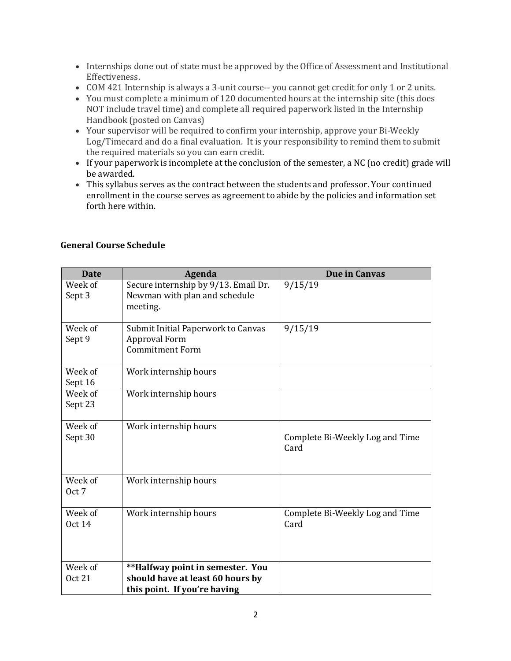- Internships done out of state must be approved by the Office of Assessment and Institutional Effectiveness.
- COM 421 Internship is always a 3-unit course-- you cannot get credit for only 1 or 2 units.
- You must complete a minimum of 120 documented hours at the internship site (this does NOT include travel time) and complete all required paperwork listed in the Internship Handbook (posted on Canvas)
- Your supervisor will be required to confirm your internship, approve your Bi-Weekly Log/Timecard and do a final evaluation. It is your responsibility to remind them to submit the required materials so you can earn credit.
- If your paperwork is incomplete at the conclusion of the semester, a NC (no credit) grade will be awarded.
- This syllabus serves as the contract between the students and professor. Your continued enrollment in the course serves as agreement to abide by the policies and information set forth here within.

| <b>Date</b>              | Agenda                                                                               | <b>Due in Canvas</b>                    |
|--------------------------|--------------------------------------------------------------------------------------|-----------------------------------------|
| Week of<br>Sept 3        | Secure internship by 9/13. Email Dr.<br>Newman with plan and schedule<br>meeting.    | 9/15/19                                 |
| Week of<br>Sept 9        | Submit Initial Paperwork to Canvas<br><b>Approval Form</b><br><b>Commitment Form</b> | 9/15/19                                 |
| Week of<br>Sept 16       | Work internship hours                                                                |                                         |
| Week of<br>Sept 23       | Work internship hours                                                                |                                         |
| Week of<br>Sept 30       | Work internship hours                                                                | Complete Bi-Weekly Log and Time<br>Card |
| Week of<br>Oct 7         | Work internship hours                                                                |                                         |
| Week of<br><b>Oct 14</b> | Work internship hours                                                                | Complete Bi-Weekly Log and Time<br>Card |
| Week of                  | **Halfway point in semester. You                                                     |                                         |
| <b>Oct 21</b>            | should have at least 60 hours by                                                     |                                         |
|                          | this point. If you're having                                                         |                                         |

### **General Course Schedule**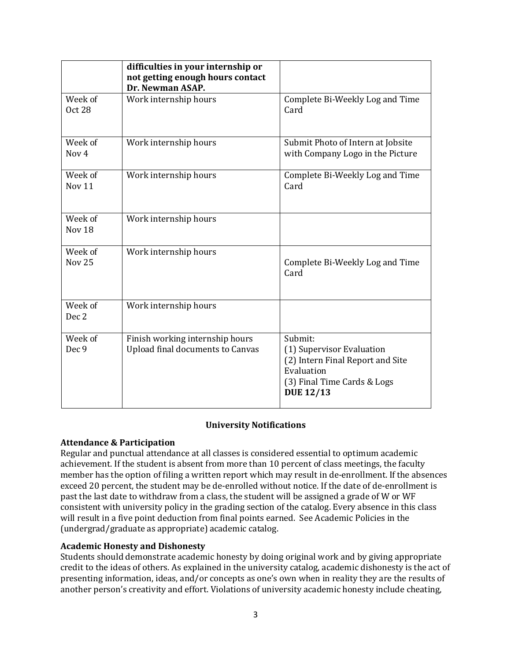|                              | difficulties in your internship or<br>not getting enough hours contact<br>Dr. Newman ASAP. |                                                                                                                                           |
|------------------------------|--------------------------------------------------------------------------------------------|-------------------------------------------------------------------------------------------------------------------------------------------|
| Week of<br><b>Oct 28</b>     | Work internship hours                                                                      | Complete Bi-Weekly Log and Time<br>Card                                                                                                   |
| Week of<br>Nov <sub>4</sub>  | Work internship hours                                                                      | Submit Photo of Intern at Jobsite<br>with Company Logo in the Picture                                                                     |
| Week of<br>Nov <sub>11</sub> | Work internship hours                                                                      | Complete Bi-Weekly Log and Time<br>Card                                                                                                   |
| Week of<br>Nov <sub>18</sub> | Work internship hours                                                                      |                                                                                                                                           |
| Week of<br><b>Nov 25</b>     | Work internship hours                                                                      | Complete Bi-Weekly Log and Time<br>Card                                                                                                   |
| Week of<br>Dec 2             | Work internship hours                                                                      |                                                                                                                                           |
| Week of<br>Dec 9             | Finish working internship hours<br><b>Upload final documents to Canvas</b>                 | Submit:<br>(1) Supervisor Evaluation<br>(2) Intern Final Report and Site<br>Evaluation<br>(3) Final Time Cards & Logs<br><b>DUE 12/13</b> |

## **University Notifications**

### **Attendance & Participation**

Regular and punctual attendance at all classes is considered essential to optimum academic achievement. If the student is absent from more than 10 percent of class meetings, the faculty member has the option of filing a written report which may result in de-enrollment. If the absences exceed 20 percent, the student may be de-enrolled without notice. If the date of de-enrollment is past the last date to withdraw from a class, the student will be assigned a grade of W or WF consistent with university policy in the grading section of the catalog. Every absence in this class will result in a five point deduction from final points earned. See Academic Policies in the (undergrad/graduate as appropriate) academic catalog.

## **Academic Honesty and Dishonesty**

Students should demonstrate academic honesty by doing original work and by giving appropriate credit to the ideas of others. As explained in the university catalog, academic dishonesty is the act of presenting information, ideas, and/or concepts as one's own when in reality they are the results of another person's creativity and effort. Violations of university academic honesty include cheating,